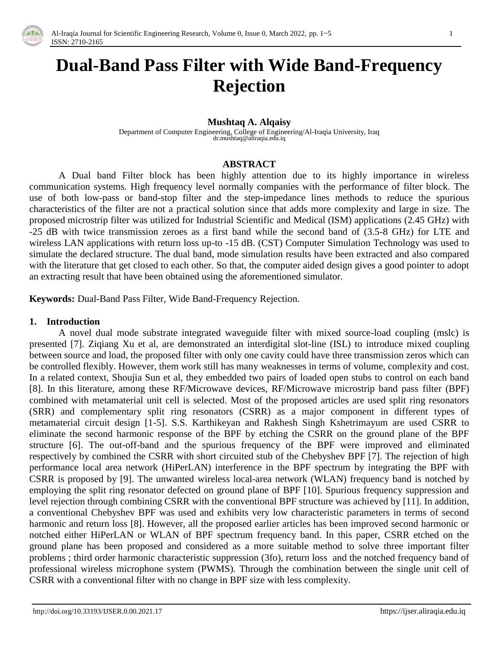

# **Dual-Band Pass Filter with Wide Band-Frequency Rejection**

### **Mushtaq A. Alqaisy**

Department of Computer Engineering, College of Engineering/Al-Iraqia University, Iraq dr.mushtaq@aliraqia.edu.iq

#### **ABSTRACT**

A Dual band Filter block has been highly attention due to its highly importance in wireless communication systems. High frequency level normally companies with the performance of filter block. The use of both low-pass or band-stop filter and the step-impedance lines methods to reduce the spurious characteristics of the filter are not a practical solution since that adds more complexity and large in size. The proposed microstrip filter was utilized for Industrial Scientific and Medical (ISM) applications (2.45 GHz) with -25 dB with twice transmission zeroes as a first band while the second band of (3.5-8 GHz) for LTE and wireless LAN applications with return loss up-to -15 dB. (CST) Computer Simulation Technology was used to simulate the declared structure. The dual band, mode simulation results have been extracted and also compared with the literature that get closed to each other. So that, the computer aided design gives a good pointer to adopt an extracting result that have been obtained using the aforementioned simulator.

**Keywords:** Dual-Band Pass Filter, Wide Band-Frequency Rejection.

## **1. Introduction**

A novel dual mode substrate integrated waveguide filter with mixed source-load coupling (mslc) is presented [7]. Ziqiang Xu et al, are demonstrated an interdigital slot-line (ISL) to introduce mixed coupling between source and load, the proposed filter with only one cavity could have three transmission zeros which can be controlled flexibly. However, them work still has many weaknesses in terms of volume, complexity and cost. In a related context, Shoujia Sun et al, they embedded two pairs of loaded open stubs to control on each band [8]. In this literature, among these RF/Microwave devices, RF/Microwave microstrip band pass filter (BPF) combined with metamaterial unit cell is selected. Most of the proposed articles are used split ring resonators (SRR) and complementary split ring resonators (CSRR) as a major component in different types of metamaterial circuit design [1-5]. S.S. Karthikeyan and Rakhesh Singh Kshetrimayum are used CSRR to eliminate the second harmonic response of the BPF by etching the CSRR on the ground plane of the BPF structure [6]. The out-off-band and the spurious frequency of the BPF were improved and eliminated respectively by combined the CSRR with short circuited stub of the Chebyshev BPF [7]. The rejection of high performance local area network (HiPerLAN) interference in the BPF spectrum by integrating the BPF with CSRR is proposed by [9]. The unwanted wireless local-area network (WLAN) frequency band is notched by employing the split ring resonator defected on ground plane of BPF [10]. Spurious frequency suppression and level rejection through combining CSRR with the conventional BPF structure was achieved by [11]. In addition, a conventional Chebyshev BPF was used and exhibits very low characteristic parameters in terms of second harmonic and return loss [8]. However, all the proposed earlier articles has been improved second harmonic or notched either HiPerLAN or WLAN of BPF spectrum frequency band. In this paper, CSRR etched on the ground plane has been proposed and considered as a more suitable method to solve three important filter problems ; third order harmonic characteristic suppression (3fo), return loss and the notched frequency band of professional wireless microphone system (PWMS). Through the combination between the single unit cell of CSRR with a conventional filter with no change in BPF size with less complexity.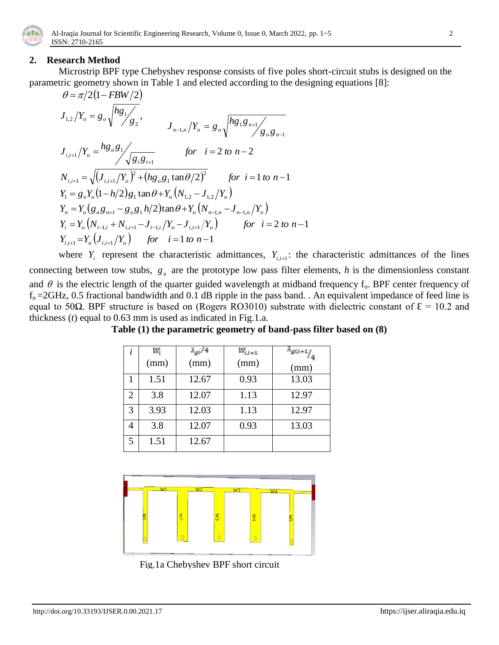

## **2. Research Method**

Microstrip BPF type Chebyshev response consists of five poles short-circuit stubs is designed on the parametric geometry shown in Table 1 and elected according to the designing equations [8]:

$$
\theta = \pi/2(1 - FBW/2)
$$
\n
$$
J_{1,2}/Y_o = g_o \sqrt{\frac{hg_1}{g_2}}, \qquad J_{n-1,n}/Y_o = g_o \sqrt{\frac{hg_1g_{n+1}}{g_o g_{n-1}}}
$$
\n
$$
J_{i,i+1}/Y_o = \frac{hg_o g_1}{\sqrt{g_i g_{i+1}}} \qquad \text{for} \quad i = 2 \text{ to } n-2
$$
\n
$$
N_{i,i+1} = \sqrt{(J_{i,i+1}/Y_o)^2 + (hg_o g_1 \tan \theta/2)^2} \qquad \text{for} \quad i = 1 \text{ to } n-1
$$
\n
$$
Y_1 = g_o Y_o (1 - h/2) g_1 \tan \theta + Y_o (N_{1,2} - J_{1,2}/Y_o)
$$
\n
$$
Y_n = Y_o (g_n g_{n+1} - g_o g_1 h/2) \tan \theta + Y_o (N_{n-1,n} - J_{n-1,n}/Y_o)
$$
\n
$$
Y_i = Y_o (N_{i-1,i} + N_{i,i+1} - J_{i-1,i}/Y_o - J_{i,i+1}/Y_o) \qquad \text{for} \quad i = 2 \text{ to } n-1
$$
\n
$$
Y_{i,i+1} = Y_o (J_{i,i+1}/Y_o) \qquad \text{for} \quad i = 1 \text{ to } n-1
$$

where  $Y_i$  represent the characteristic admittances,  $Y_{i,i+1}$ : the characteristic admittances of the lines connecting between tow stubs,  $g_n$  are the prototype low pass filter elements,  $h$  is the dimensionless constant and  $\theta$  is the electric length of the quarter guided wavelength at midband frequency  $f_0$ . BPF center frequency of  $f<sub>o</sub>=2GHz$ , 0.5 fractional bandwidth and 0.1 dB ripple in the pass band. . An equivalent impedance of feed line is equal to 50Ω. BPF structure is based on (Rogers RO3010) substrate with dielectric constant of  $ε = 10.2$  and thickness (*t*) equal to 0.63 mm is used as indicated in Fig.1.a.

| ĺ | Wi<br>(mm) | $\lambda_{gi}/4$<br>(mm) | $W_{i,i+1}$<br>(mm) | $\pi_{gi,i+1}$<br>(mm) |
|---|------------|--------------------------|---------------------|------------------------|
| 1 | 1.51       | 12.67                    | 0.93                | 13.03                  |
| 2 | 3.8        | 12.07                    | 1.13                | 12.97                  |
| 3 | 3.93       | 12.03                    | 1.13                | 12.97                  |
| 4 | 3.8        | 12.07                    | 0.93                | 13.03                  |
| 5 | 1.51       | 12.67                    |                     |                        |

**Table (1) the parametric geometry of band-pass filter based on (8)**



Fig.1a Chebyshev BPF short circuit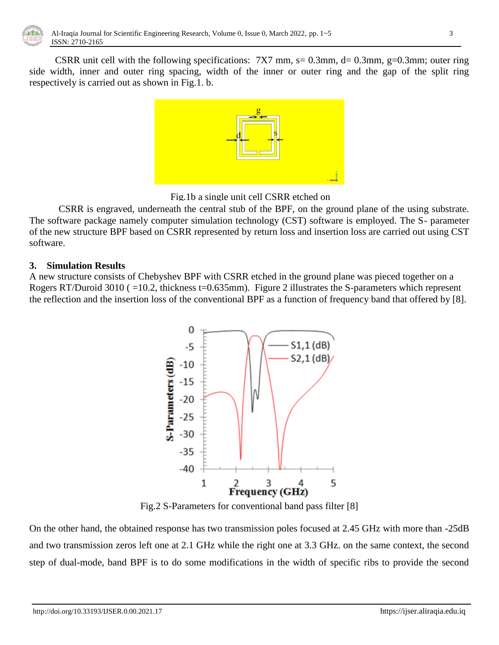

CSRR unit cell with the following specifications:  $7X7$  mm,  $s = 0.3$ mm,  $d = 0.3$ mm,  $g = 0.3$ mm; outer ring side width, inner and outer ring spacing, width of the inner or outer ring and the gap of the split ring respectively is carried out as shown in Fig.1. b.



Fig.1b a single unit cell CSRR etched on

CSRR is engraved, underneath the central stub of the BPF, on the ground plane of the using substrate. The software package namely computer simulation technology (CST) software is employed. The S- parameter of the new structure BPF based on CSRR represented by return loss and insertion loss are carried out using CST software.

## **3. Simulation Results**

A new structure consists of Chebyshev BPF with CSRR etched in the ground plane was pieced together on a Rogers RT/Duroid 3010 ( =10.2, thickness t=0.635mm). Figure 2 illustrates the S-parameters which represent the reflection and the insertion loss of the conventional BPF as a function of frequency band that offered by [8].



Fig.2 S-Parameters for conventional band pass filter [8]

On the other hand, the obtained response has two transmission poles focused at 2.45 GHz with more than -25dB and two transmission zeros left one at 2.1 GHz while the right one at 3.3 GHz. on the same context, the second step of dual-mode, band BPF is to do some modifications in the width of specific ribs to provide the second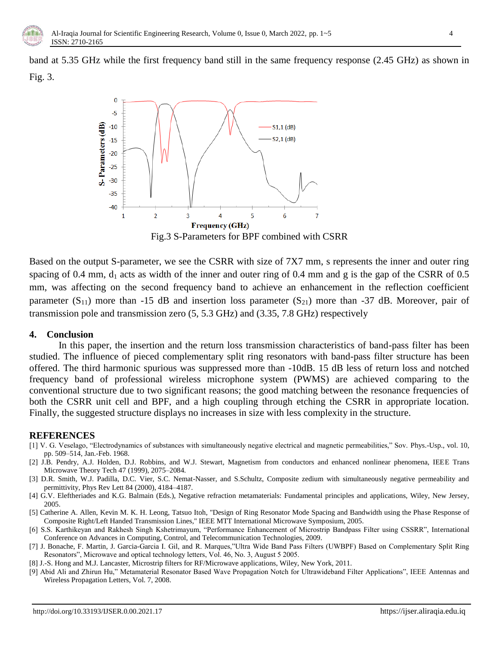

band at 5.35 GHz while the first frequency band still in the same frequency response (2.45 GHz) as shown in Fig. 3.



Fig.3 S-Parameters for BPF combined with CSRR

Based on the output S-parameter, we see the CSRR with size of 7X7 mm, s represents the inner and outer ring spacing of 0.4 mm,  $d_1$  acts as width of the inner and outer ring of 0.4 mm and g is the gap of the CSRR of 0.5 mm, was affecting on the second frequency band to achieve an enhancement in the reflection coefficient parameter  $(S_{11})$  more than -15 dB and insertion loss parameter  $(S_{21})$  more than -37 dB. Moreover, pair of transmission pole and transmission zero (5, 5.3 GHz) and (3.35, 7.8 GHz) respectively

### **4. Conclusion**

In this paper, the insertion and the return loss transmission characteristics of band-pass filter has been studied. The influence of pieced complementary split ring resonators with band-pass filter structure has been offered. The third harmonic spurious was suppressed more than -10dB. 15 dB less of return loss and notched frequency band of professional wireless microphone system (PWMS) are achieved comparing to the conventional structure due to two significant reasons; the good matching between the resonance frequencies of both the CSRR unit cell and BPF, and a high coupling through etching the CSRR in appropriate location. Finally, the suggested structure displays no increases in size with less complexity in the structure.

## **REFERENCES**

- [1] V. G. Veselago, "Electrodynamics of substances with simultaneously negative electrical and magnetic permeabilities," Sov. Phys.-Usp., vol. 10, pp. 509–514, Jan.-Feb. 1968.
- [2] J.B. Pendry, A.J. Holden, D.J. Robbins, and W.J. Stewart, Magnetism from conductors and enhanced nonlinear phenomena, IEEE Trans Microwave Theory Tech 47 (1999), 2075–2084.
- [3] D.R. Smith, W.J. Padilla, D.C. Vier, S.C. Nemat-Nasser, and S.Schultz, Composite zedium with simultaneously negative permeability and permittivity, Phys Rev Lett 84 (2000), 4184–4187.
- [4] G.V. Eleftheriades and K.G. Balmain (Eds.), Negative refraction metamaterials: Fundamental principles and applications, Wiley, New Jersey, 2005.
- [5] Catherine A. Allen, Kevin M. K. H. Leong, Tatsuo Itoh, "Design of Ring Resonator Mode Spacing and Bandwidth using the Phase Response of Composite Right/Left Handed Transmission Lines," IEEE MTT International Microwave Symposium, 2005.
- [6] S.S. Karthikeyan and Rakhesh Singh Kshetrimayum, "Performance Enhancement of Microstrip Bandpass Filter using CSSRR", International Conference on Advances in Computing, Control, and Telecommunication Technologies, 2009.
- [7] J. Bonache, F. Martin, J. Garcia-Garcia I. Gil, and R. Marques,"Ultra Wide Band Pass Filters (UWBPF) Based on Complementary Split Ring Resonators", Microwave and optical technology letters, Vol. 46, No. 3, August 5 2005.
- [8] J.-S. Hong and M.J. Lancaster, Microstrip filters for RF/Microwave applications, Wiley, New York, 2011.
- [9] Abid Ali and Zhirun Hu," Metamaterial Resonator Based Wave Propagation Notch for Ultrawideband Filter Applications", IEEE Antennas and Wireless Propagation Letters, Vol. 7, 2008.